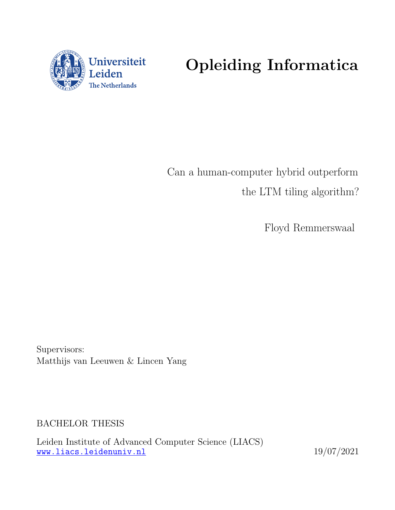

# Opleiding Informatica

Can a human-computer hybrid outperform the LTM tiling algorithm?

Floyd Remmerswaal

Supervisors: Matthijs van Leeuwen & Lincen Yang

BACHELOR THESIS

Leiden Institute of Advanced Computer Science (LIACS) <www.liacs.leidenuniv.nl> 19/07/2021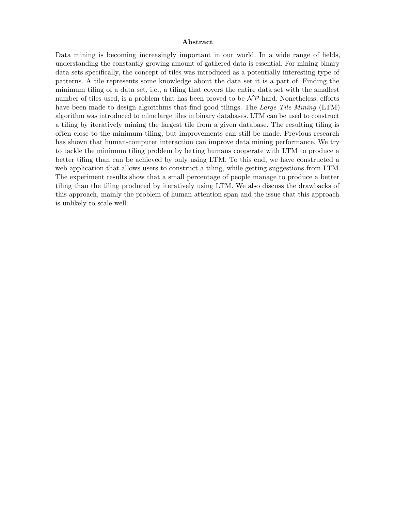#### Abstract

Data mining is becoming increasingly important in our world. In a wide range of fields, understanding the constantly growing amount of gathered data is essential. For mining binary data sets specifically, the concept of tiles was introduced as a potentially interesting type of patterns. A tile represents some knowledge about the data set it is a part of. Finding the minimum tiling of a data set, i.e., a tiling that covers the entire data set with the smallest number of tiles used, is a problem that has been proved to be  $\mathcal{NP}$ -hard. Nonetheless, efforts have been made to design algorithms that find good tilings. The Large Tile Mining (LTM) algorithm was introduced to mine large tiles in binary databases. LTM can be used to construct a tiling by iteratively mining the largest tile from a given database. The resulting tiling is often close to the minimum tiling, but improvements can still be made. Previous research has shown that human-computer interaction can improve data mining performance. We try to tackle the minimum tiling problem by letting humans cooperate with LTM to produce a better tiling than can be achieved by only using LTM. To this end, we have constructed a web application that allows users to construct a tiling, while getting suggestions from LTM. The experiment results show that a small percentage of people manage to produce a better tiling than the tiling produced by iteratively using LTM. We also discuss the drawbacks of this approach, mainly the problem of human attention span and the issue that this approach is unlikely to scale well.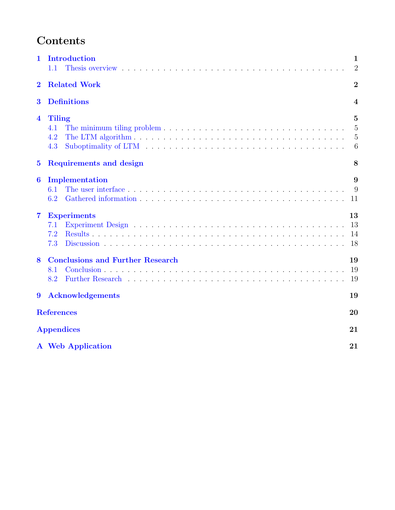# Contents

| 1                       | Introduction<br>1.1                                                                                                                                                                                                                                                                                                                                                         | 1<br>$\overline{2}$           |  |  |  |  |  |  |
|-------------------------|-----------------------------------------------------------------------------------------------------------------------------------------------------------------------------------------------------------------------------------------------------------------------------------------------------------------------------------------------------------------------------|-------------------------------|--|--|--|--|--|--|
| $\bf{2}$                | <b>Related Work</b>                                                                                                                                                                                                                                                                                                                                                         | $\overline{2}$                |  |  |  |  |  |  |
| $\bf{3}$                | <b>Definitions</b><br>4                                                                                                                                                                                                                                                                                                                                                     |                               |  |  |  |  |  |  |
| $\overline{\mathbf{4}}$ | Tiling<br>The minimum tiling problem $\dots \dots \dots \dots \dots \dots \dots \dots \dots \dots \dots \dots \dots$<br>4.1<br>4.2<br>4.3<br>Suboptimality of LTM respectively in the contract of the contract of the substantial substantial substantial substantial substantial substantial substantial substantial substantial substantial substantial substantial subst | 5<br>5<br>$\overline{5}$<br>6 |  |  |  |  |  |  |
| $\bf{5}$                | Requirements and design                                                                                                                                                                                                                                                                                                                                                     | 8                             |  |  |  |  |  |  |
| 6                       | Implementation<br>6.1<br>6.2<br>Gathered information enterprise in the set of the set of the set of the set of the set of the set of the set of the set of the set of the set of the set of the set of the set of the set of the set of the set of the set of                                                                                                               | 9<br>9<br>11                  |  |  |  |  |  |  |
| $\overline{\mathbf{7}}$ | <b>Experiments</b><br>7.1<br>7.2<br>7.3                                                                                                                                                                                                                                                                                                                                     | 13<br>13<br>14<br>18          |  |  |  |  |  |  |
| 8                       | <b>Conclusions and Further Research</b><br>8.1<br>8.2                                                                                                                                                                                                                                                                                                                       | 19<br>19<br>19                |  |  |  |  |  |  |
| $\boldsymbol{9}$        | <b>Acknowledgements</b>                                                                                                                                                                                                                                                                                                                                                     | 19                            |  |  |  |  |  |  |
|                         | <b>References</b><br>20                                                                                                                                                                                                                                                                                                                                                     |                               |  |  |  |  |  |  |
|                         | <b>Appendices</b>                                                                                                                                                                                                                                                                                                                                                           | 21                            |  |  |  |  |  |  |
|                         | A Web Application                                                                                                                                                                                                                                                                                                                                                           | 21                            |  |  |  |  |  |  |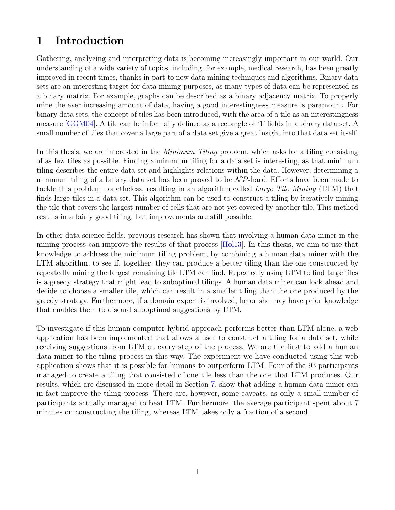## <span id="page-3-0"></span>1 Introduction

Gathering, analyzing and interpreting data is becoming increasingly important in our world. Our understanding of a wide variety of topics, including, for example, medical research, has been greatly improved in recent times, thanks in part to new data mining techniques and algorithms. Binary data sets are an interesting target for data mining purposes, as many types of data can be represented as a binary matrix. For example, graphs can be described as a binary adjacency matrix. To properly mine the ever increasing amount of data, having a good interestingness measure is paramount. For binary data sets, the concept of tiles has been introduced, with the area of a tile as an interestingness measure [\[GGM04\]](#page-22-1). A tile can be informally defined as a rectangle of '1' fields in a binary data set. A small number of tiles that cover a large part of a data set give a great insight into that data set itself.

In this thesis, we are interested in the *Minimum Tiling* problem, which asks for a tiling consisting of as few tiles as possible. Finding a minimum tiling for a data set is interesting, as that minimum tiling describes the entire data set and highlights relations within the data. However, determining a minimum tiling of a binary data set has been proved to be  $\mathcal{NP}$ -hard. Efforts have been made to tackle this problem nonetheless, resulting in an algorithm called *Large Tile Mining* (LTM) that finds large tiles in a data set. This algorithm can be used to construct a tiling by iteratively mining the tile that covers the largest number of cells that are not yet covered by another tile. This method results in a fairly good tiling, but improvements are still possible.

In other data science fields, previous research has shown that involving a human data miner in the mining process can improve the results of that process [\[Hol13\]](#page-22-2). In this thesis, we aim to use that knowledge to address the minimum tiling problem, by combining a human data miner with the LTM algorithm, to see if, together, they can produce a better tiling than the one constructed by repeatedly mining the largest remaining tile LTM can find. Repeatedly using LTM to find large tiles is a greedy strategy that might lead to suboptimal tilings. A human data miner can look ahead and decide to choose a smaller tile, which can result in a smaller tiling than the one produced by the greedy strategy. Furthermore, if a domain expert is involved, he or she may have prior knowledge that enables them to discard suboptimal suggestions by LTM.

To investigate if this human-computer hybrid approach performs better than LTM alone, a web application has been implemented that allows a user to construct a tiling for a data set, while receiving suggestions from LTM at every step of the process. We are the first to add a human data miner to the tiling process in this way. The experiment we have conducted using this web application shows that it is possible for humans to outperform LTM. Four of the 93 participants managed to create a tiling that consisted of one tile less than the one that LTM produces. Our results, which are discussed in more detail in Section [7,](#page-15-0) show that adding a human data miner can in fact improve the tiling process. There are, however, some caveats, as only a small number of participants actually managed to beat LTM. Furthermore, the average participant spent about 7 minutes on constructing the tiling, whereas LTM takes only a fraction of a second.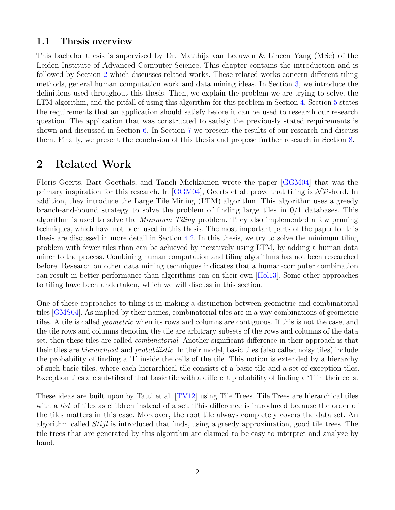#### <span id="page-4-0"></span>1.1 Thesis overview

This bachelor thesis is supervised by Dr. Matthijs van Leeuwen & Lincen Yang (MSc) of the Leiden Institute of Advanced Computer Science. This chapter contains the introduction and is followed by Section [2](#page-4-1) which discusses related works. These related works concern different tiling methods, general human computation work and data mining ideas. In Section [3,](#page-6-0) we introduce the definitions used throughout this thesis. Then, we explain the problem we are trying to solve, the LTM algorithm, and the pitfall of using this algorithm for this problem in Section [4.](#page-7-0) Section [5](#page-10-0) states the requirements that an application should satisfy before it can be used to research our research question. The application that was constructed to satisfy the previously stated requirements is shown and discussed in Section [6.](#page-11-0) In Section [7](#page-15-0) we present the results of our research and discuss them. Finally, we present the conclusion of this thesis and propose further research in Section [8.](#page-21-0)

## <span id="page-4-1"></span>2 Related Work

Floris Geerts, Bart Goethals, and Taneli Mielikäinen wrote the paper [\[GGM04\]](#page-22-1) that was the primary inspiration for this research. In [\[GGM04\]](#page-22-1), Geerts et al. prove that tiling is  $N\mathcal{P}$ -hard. In addition, they introduce the Large Tile Mining (LTM) algorithm. This algorithm uses a greedy branch-and-bound strategy to solve the problem of finding large tiles in 0/1 databases. This algorithm is used to solve the Minimum Tiling problem. They also implemented a few pruning techniques, which have not been used in this thesis. The most important parts of the paper for this thesis are discussed in more detail in Section [4.2.](#page-7-2) In this thesis, we try to solve the minimum tiling problem with fewer tiles than can be achieved by iteratively using LTM, by adding a human data miner to the process. Combining human computation and tiling algorithms has not been researched before. Research on other data mining techniques indicates that a human-computer combination can result in better performance than algorithms can on their own [\[Hol13\]](#page-22-2). Some other approaches to tiling have been undertaken, which we will discuss in this section.

One of these approaches to tiling is in making a distinction between geometric and combinatorial tiles [\[GMS04\]](#page-22-3). As implied by their names, combinatorial tiles are in a way combinations of geometric tiles. A tile is called geometric when its rows and columns are contiguous. If this is not the case, and the tile rows and columns denoting the tile are arbitrary subsets of the rows and columns of the data set, then these tiles are called combinatorial. Another significant difference in their approach is that their tiles are hierarchical and probabilistic. In their model, basic tiles (also called noisy tiles) include the probability of finding a '1' inside the cells of the tile. This notion is extended by a hierarchy of such basic tiles, where each hierarchical tile consists of a basic tile and a set of exception tiles. Exception tiles are sub-tiles of that basic tile with a different probability of finding a '1' in their cells.

These ideas are built upon by Tatti et al. [\[TV12\]](#page-22-4) using Tile Trees. Tile Trees are hierarchical tiles with a *list* of tiles as children instead of a set. This difference is introduced because the order of the tiles matters in this case. Moreover, the root tile always completely covers the data set. An algorithm called Stijl is introduced that finds, using a greedy approximation, good tile trees. The tile trees that are generated by this algorithm are claimed to be easy to interpret and analyze by hand.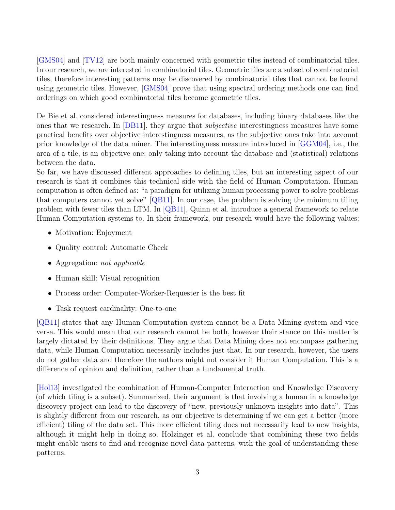[\[GMS04\]](#page-22-3) and [\[TV12\]](#page-22-4) are both mainly concerned with geometric tiles instead of combinatorial tiles. In our research, we are interested in combinatorial tiles. Geometric tiles are a subset of combinatorial tiles, therefore interesting patterns may be discovered by combinatorial tiles that cannot be found using geometric tiles. However, [\[GMS04\]](#page-22-3) prove that using spectral ordering methods one can find orderings on which good combinatorial tiles become geometric tiles.

De Bie et al. considered interestingness measures for databases, including binary databases like the ones that we research. In [\[DB11\]](#page-22-5), they argue that *subjective* interestingness measures have some practical benefits over objective interestingness measures, as the subjective ones take into account prior knowledge of the data miner. The interestingness measure introduced in [\[GGM04\]](#page-22-1), i.e., the area of a tile, is an objective one: only taking into account the database and (statistical) relations between the data.

So far, we have discussed different approaches to defining tiles, but an interesting aspect of our research is that it combines this technical side with the field of Human Computation. Human computation is often defined as: "a paradigm for utilizing human processing power to solve problems that computers cannot yet solve" [\[QB11\]](#page-22-6). In our case, the problem is solving the minimum tiling problem with fewer tiles than LTM. In [\[QB11\]](#page-22-6), Quinn et al. introduce a general framework to relate Human Computation systems to. In their framework, our research would have the following values:

- Motivation: Enjoyment
- Quality control: Automatic Check
- Aggregation: not applicable
- Human skill: Visual recognition
- Process order: Computer-Worker-Requester is the best fit
- Task request cardinality: One-to-one

[\[QB11\]](#page-22-6) states that any Human Computation system cannot be a Data Mining system and vice versa. This would mean that our research cannot be both, however their stance on this matter is largely dictated by their definitions. They argue that Data Mining does not encompass gathering data, while Human Computation necessarily includes just that. In our research, however, the users do not gather data and therefore the authors might not consider it Human Computation. This is a difference of opinion and definition, rather than a fundamental truth.

[\[Hol13\]](#page-22-2) investigated the combination of Human-Computer Interaction and Knowledge Discovery (of which tiling is a subset). Summarized, their argument is that involving a human in a knowledge discovery project can lead to the discovery of "new, previously unknown insights into data". This is slightly different from our research, as our objective is determining if we can get a better (more efficient) tiling of the data set. This more efficient tiling does not necessarily lead to new insights, although it might help in doing so. Holzinger et al. conclude that combining these two fields might enable users to find and recognize novel data patterns, with the goal of understanding these patterns.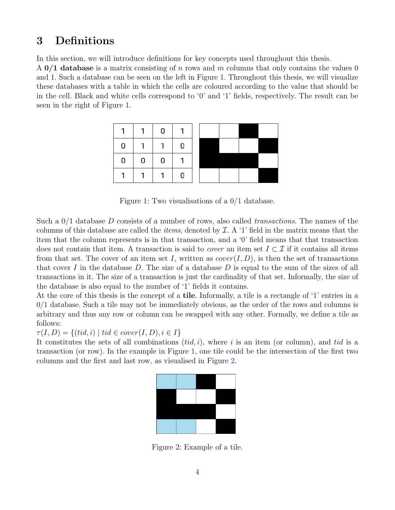## <span id="page-6-0"></span>3 Definitions

In this section, we will introduce definitions for key concepts used throughout this thesis.

A  $0/1$  database is a matrix consisting of n rows and m columns that only contains the values 0 and 1. Such a database can be seen on the left in Figure [1.](#page-6-1) Throughout this thesis, we will visualize these databases with a table in which the cells are coloured according to the value that should be in the cell. Black and white cells correspond to '0' and '1' fields, respectively. The result can be seen in the right of Figure [1.](#page-6-1)



<span id="page-6-1"></span>Figure 1: Two visualisations of a 0/1 database.

Such a  $0/1$  database D consists of a number of rows, also called *transactions*. The names of the columns of this database are called the *items*, denoted by  $\mathcal{I}$ . A '1' field in the matrix means that the item that the column represents is in that transaction, and a '0' field means that that transaction does not contain that item. A transaction is said to *cover* an item set  $I \subset \mathcal{I}$  if it contains all items from that set. The cover of an item set I, written as  $cover(I, D)$ , is then the set of transactions that cover I in the database  $D$ . The size of a database  $D$  is equal to the sum of the sizes of all transactions in it. The size of a transaction is just the cardinality of that set. Informally, the size of the database is also equal to the number of '1' fields it contains.

At the core of this thesis is the concept of a tile. Informally, a tile is a rectangle of '1' entries in a  $0/1$  database. Such a tile may not be immediately obvious, as the order of the rows and columns is arbitrary and thus any row or column can be swapped with any other. Formally, we define a tile as follows:

 $\tau(I, D) = \{(tid, i) \mid tid \in cover(I, D), i \in I\}$ 

It constitutes the sets of all combinations  $(tid, i)$ , where i is an item (or column), and tid is a transaction (or row). In the example in Figure [1,](#page-6-1) one tile could be the intersection of the first two columns and the first and last row, as visualised in Figure [2.](#page-6-2)



<span id="page-6-2"></span>Figure 2: Example of a tile.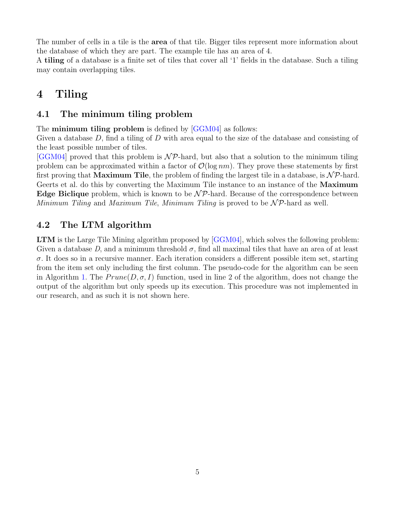The number of cells in a tile is the **area** of that tile. Bigger tiles represent more information about the database of which they are part. The example tile has an area of 4.

A tiling of a database is a finite set of tiles that cover all '1' fields in the database. Such a tiling may contain overlapping tiles.

## <span id="page-7-0"></span>4 Tiling

#### <span id="page-7-1"></span>4.1 The minimum tiling problem

The **minimum tiling problem** is defined by [\[GGM04\]](#page-22-1) as follows:

Given a database  $D$ , find a tiling of  $D$  with area equal to the size of the database and consisting of the least possible number of tiles.

 $[GGM04]$  proved that this problem is  $\mathcal{NP}$ -hard, but also that a solution to the minimum tiling problem can be approximated within a factor of  $\mathcal{O}(\log nm)$ . They prove these statements by first first proving that **Maximum Tile**, the problem of finding the largest tile in a database, is  $N\mathcal{P}$ -hard. Geerts et al. do this by converting the Maximum Tile instance to an instance of the **Maximum Edge Biclique** problem, which is known to be  $\mathcal{NP}$ -hard. Because of the correspondence between Minimum Tiling and Maximum Tile, Minimum Tiling is proved to be  $\mathcal{NP}$ -hard as well.

#### <span id="page-7-2"></span>4.2 The LTM algorithm

LTM is the Large Tile Mining algorithm proposed by [\[GGM04\]](#page-22-1), which solves the following problem: Given a database D, and a minimum threshold  $\sigma$ , find all maximal tiles that have an area of at least  $\sigma$ . It does so in a recursive manner. Each iteration considers a different possible item set, starting from the item set only including the first column. The pseudo-code for the algorithm can be seen in Algorithm [1.](#page-8-1) The  $Prune(D, \sigma, I)$  function, used in line 2 of the algorithm, does not change the output of the algorithm but only speeds up its execution. This procedure was not implemented in our research, and as such it is not shown here.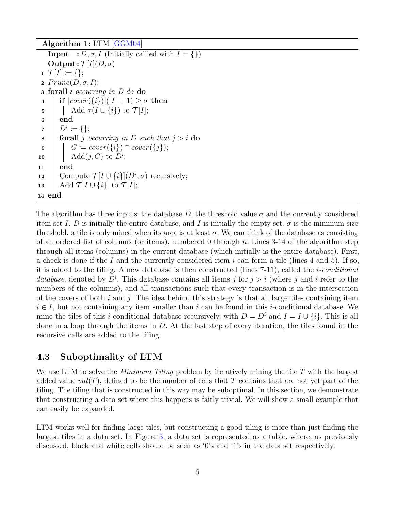Algorithm 1: LTM [\[GGM04\]](#page-22-1)

**Input** :  $D, \sigma, I$  (Initially callled with  $I = \{\}\$ ) Output :  $\mathcal{T}[I](D,\sigma)$  $1 \mathcal{T}[I] \coloneqq \{\};$ 2  $Prune(D, \sigma, I);$ <sup>3</sup> forall i occurring in D do do 4 if  $|cover({i})|(|I|+1) \ge \sigma$  then 5 Add  $\tau(I \cup \{i\})$  to  $\mathcal{T}[I];$  $6 \mid end$  $\begin{aligned} \mathbf{z} \quad | \quad D^i \coloneqq \{\}; \end{aligned}$ 8 **forall** j occurring in D such that  $j > i$  do 9  $\vert \quad \vert \quad C \coloneqq cover(\lbrace i \rbrace) \cap cover(\lbrace j \rbrace);$ 10  $\Box$  Add $(j, C)$  to  $D^i$ ;  $11$  end 12 Compute  $\mathcal{T}[I \cup \{i\}](D^i, \sigma)$  recursively; 13 | Add  $\mathcal{T}[I \cup \{i\}]$  to  $\mathcal{T}[I];$ <sup>14</sup> end

<span id="page-8-1"></span>The algorithm has three inputs: the database D, the threshold value  $\sigma$  and the currently considered item set I. D is initially the entire database, and I is initially the empty set.  $\sigma$  is the minimum size threshold, a tile is only mined when its area is at least  $\sigma$ . We can think of the database as consisting of an ordered list of columns (or items), numbered 0 through n. Lines  $3-14$  of the algorithm step through all items (columns) in the current database (which initially is the entire database). First, a check is done if the I and the currently considered item i can form a tile (lines 4 and 5). If so, it is added to the tiling. A new database is then constructed (lines 7-11), called the i-conditional database, denoted by  $D^i$ . This database contains all items j for  $j > i$  (where j and i refer to the numbers of the columns), and all transactions such that every transaction is in the intersection of the covers of both i and j. The idea behind this strategy is that all large tiles containing item  $i \in I$ , but not containing any item smaller than i can be found in this i-conditional database. We mine the tiles of this *i*-conditional database recursively, with  $D = D^i$  and  $I = I \cup \{i\}$ . This is all done in a loop through the items in  $D$ . At the last step of every iteration, the tiles found in the recursive calls are added to the tiling.

#### <span id="page-8-0"></span>4.3 Suboptimality of LTM

We use LTM to solve the *Minimum Tiling* problem by iteratively mining the tile  $T$  with the largest added value  $val(T)$ , defined to be the number of cells that T contains that are not yet part of the tiling. The tiling that is constructed in this way may be suboptimal. In this section, we demonstrate that constructing a data set where this happens is fairly trivial. We will show a small example that can easily be expanded.

LTM works well for finding large tiles, but constructing a good tiling is more than just finding the largest tiles in a data set. In Figure [3,](#page-9-0) a data set is represented as a table, where, as previously discussed, black and white cells should be seen as '0's and '1's in the data set respectively.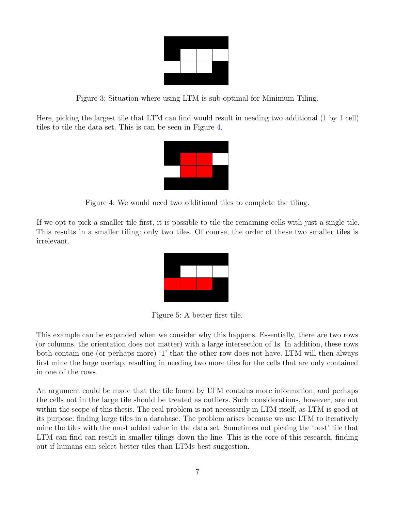<span id="page-9-0"></span>

Figure 3: Situation where using LTM is sub-optimal for Minimum Tiling.

Here, picking the largest tile that LTM can find would result in needing two additional (1 by 1 cell) tiles to tile the data set. This is can be seen in Figure [4.](#page-9-1)

<span id="page-9-1"></span>

Figure 4: We would need two additional tiles to complete the tiling.

If we opt to pick a smaller tile first, it is possible to tile the remaining cells with just a single tile. This results in a smaller tiling: only two tiles. Of course, the order of these two smaller tiles is irrelevant.

Figure 5: A better first tile.

This example can be expanded when we consider why this happens. Essentially, there are two rows (or columns, the orientation does not matter) with a large intersection of 1s. In addition, these rows both contain one (or perhaps more) '1' that the other row does not have. LTM will then always first mine the large overlap, resulting in needing two more tiles for the cells that are only contained in one of the rows.

An argument could be made that the tile found by LTM contains more information, and perhaps the cells not in the large tile should be treated as outliers. Such considerations, however, are not within the scope of this thesis. The real problem is not necessarily in LTM itself, as LTM is good at its purpose: finding large tiles in a database. The problem arises because we use LTM to iteratively mine the tiles with the most added value in the data set. Sometimes not picking the 'best' tile that LTM can find can result in smaller tilings down the line. This is the core of this research, finding out if humans can select better tiles than LTMs best suggestion.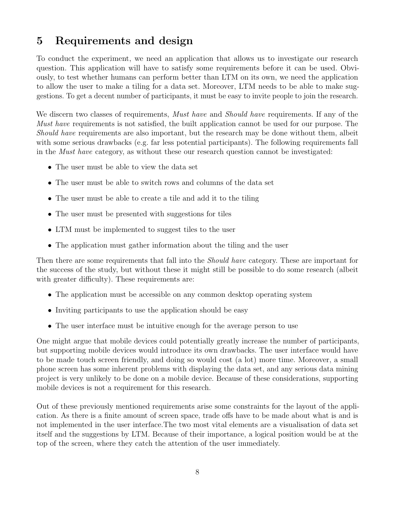## <span id="page-10-0"></span>5 Requirements and design

To conduct the experiment, we need an application that allows us to investigate our research question. This application will have to satisfy some requirements before it can be used. Obviously, to test whether humans can perform better than LTM on its own, we need the application to allow the user to make a tiling for a data set. Moreover, LTM needs to be able to make suggestions. To get a decent number of participants, it must be easy to invite people to join the research.

We discern two classes of requirements, *Must have* and *Should have* requirements. If any of the Must have requirements is not satisfied, the built application cannot be used for our purpose. The Should have requirements are also important, but the research may be done without them, albeit with some serious drawbacks (e.g. far less potential participants). The following requirements fall in the Must have category, as without these our research question cannot be investigated:

- The user must be able to view the data set
- The user must be able to switch rows and columns of the data set
- The user must be able to create a tile and add it to the tiling
- The user must be presented with suggestions for tiles
- LTM must be implemented to suggest tiles to the user
- The application must gather information about the tiling and the user

Then there are some requirements that fall into the *Should have* category. These are important for the success of the study, but without these it might still be possible to do some research (albeit with greater difficulty). These requirements are:

- The application must be accessible on any common desktop operating system
- Inviting participants to use the application should be easy
- The user interface must be intuitive enough for the average person to use

One might argue that mobile devices could potentially greatly increase the number of participants, but supporting mobile devices would introduce its own drawbacks. The user interface would have to be made touch screen friendly, and doing so would cost (a lot) more time. Moreover, a small phone screen has some inherent problems with displaying the data set, and any serious data mining project is very unlikely to be done on a mobile device. Because of these considerations, supporting mobile devices is not a requirement for this research.

Out of these previously mentioned requirements arise some constraints for the layout of the application. As there is a finite amount of screen space, trade offs have to be made about what is and is not implemented in the user interface.The two most vital elements are a visualisation of data set itself and the suggestions by LTM. Because of their importance, a logical position would be at the top of the screen, where they catch the attention of the user immediately.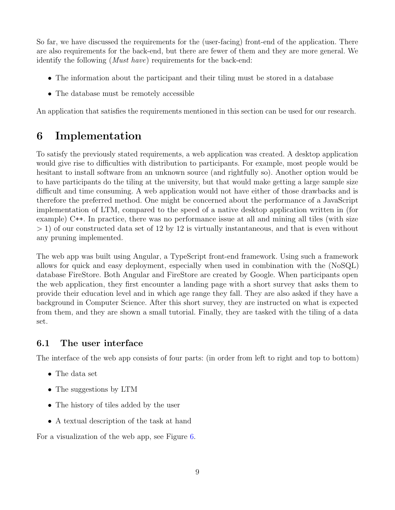So far, we have discussed the requirements for the (user-facing) front-end of the application. There are also requirements for the back-end, but there are fewer of them and they are more general. We identify the following (Must have) requirements for the back-end:

- The information about the participant and their tiling must be stored in a database
- The database must be remotely accessible

An application that satisfies the requirements mentioned in this section can be used for our research.

## <span id="page-11-0"></span>6 Implementation

To satisfy the previously stated requirements, a web application was created. A desktop application would give rise to difficulties with distribution to participants. For example, most people would be hesitant to install software from an unknown source (and rightfully so). Another option would be to have participants do the tiling at the university, but that would make getting a large sample size difficult and time consuming. A web application would not have either of those drawbacks and is therefore the preferred method. One might be concerned about the performance of a JavaScript implementation of LTM, compared to the speed of a native desktop application written in (for example) C++. In practice, there was no performance issue at all and mining all tiles (with size > 1) of our constructed data set of 12 by 12 is virtually instantaneous, and that is even without any pruning implemented.

The web app was built using Angular, a TypeScript front-end framework. Using such a framework allows for quick and easy deployment, especially when used in combination with the (NoSQL) database FireStore. Both Angular and FireStore are created by Google. When participants open the web application, they first encounter a landing page with a short survey that asks them to provide their education level and in which age range they fall. They are also asked if they have a background in Computer Science. After this short survey, they are instructed on what is expected from them, and they are shown a small tutorial. Finally, they are tasked with the tiling of a data set.

## <span id="page-11-1"></span>6.1 The user interface

The interface of the web app consists of four parts: (in order from left to right and top to bottom)

- The data set
- The suggestions by LTM
- The history of tiles added by the user
- A textual description of the task at hand

For a visualization of the web app, see Figure [6.](#page-12-0)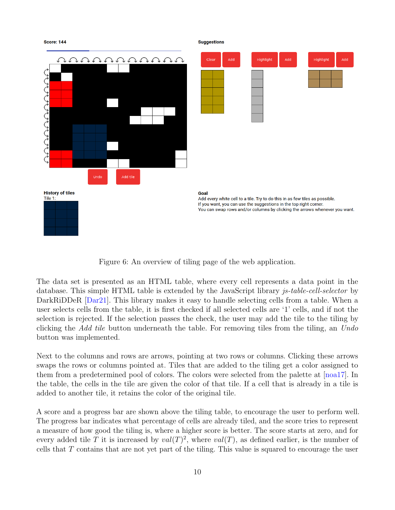

<span id="page-12-0"></span>Figure 6: An overview of tiling page of the web application.

The data set is presented as an HTML table, where every cell represents a data point in the database. This simple HTML table is extended by the JavaScript library *js-table-cell-selector* by DarkRiDDeR [\[Dar21\]](#page-22-7). This library makes it easy to handle selecting cells from a table. When a user selects cells from the table, it is first checked if all selected cells are '1' cells, and if not the selection is rejected. If the selection passes the check, the user may add the tile to the tiling by clicking the Add tile button underneath the table. For removing tiles from the tiling, an Undo button was implemented.

Next to the columns and rows are arrows, pointing at two rows or columns. Clicking these arrows swaps the rows or columns pointed at. Tiles that are added to the tiling get a color assigned to them from a predetermined pool of colors. The colors were selected from the palette at [\[noa17\]](#page-22-8). In the table, the cells in the tile are given the color of that tile. If a cell that is already in a tile is added to another tile, it retains the color of the original tile.

A score and a progress bar are shown above the tiling table, to encourage the user to perform well. The progress bar indicates what percentage of cells are already tiled, and the score tries to represent a measure of how good the tiling is, where a higher score is better. The score starts at zero, and for every added tile T it is increased by  $val(T)^2$ , where  $val(T)$ , as defined earlier, is the number of cells that  $T$  contains that are not yet part of the tiling. This value is squared to encourage the user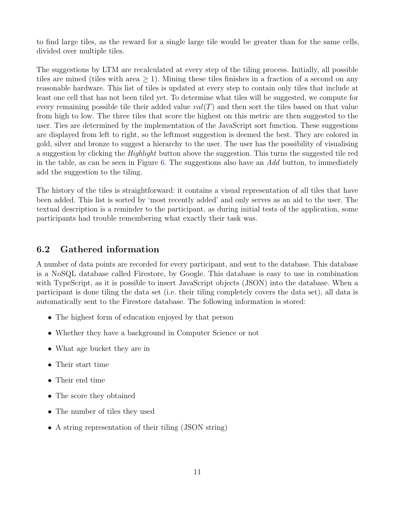to find large tiles, as the reward for a single large tile would be greater than for the same cells, divided over multiple tiles.

The suggestions by LTM are recalculated at every step of the tiling process. Initially, all possible tiles are mined (tiles with area  $> 1$ ). Mining these tiles finishes in a fraction of a second on any reasonable hardware. This list of tiles is updated at every step to contain only tiles that include at least one cell that has not been tiled yet. To determine what tiles will be suggested, we compute for every remaining possible tile their added value  $val(T)$  and then sort the tiles based on that value from high to low. The three tiles that score the highest on this metric are then suggested to the user. Ties are determined by the implementation of the JavaScript sort function. These suggestions are displayed from left to right, so the leftmost suggestion is deemed the best. They are colored in gold, silver and bronze to suggest a hierarchy to the user. The user has the possibility of visualising a suggestion by clicking the Highlight button above the suggestion. This turns the suggested tile red in the table, as can be seen in Figure [6.](#page-12-0) The suggestions also have an  $Add$  button, to immediately add the suggestion to the tiling.

The history of the tiles is straightforward: it contains a visual representation of all tiles that have been added. This list is sorted by 'most recently added' and only serves as an aid to the user. The textual description is a reminder to the participant, as during initial tests of the application, some participants had trouble remembering what exactly their task was.

#### <span id="page-13-0"></span>6.2 Gathered information

A number of data points are recorded for every participant, and sent to the database. This database is a NoSQL database called Firestore, by Google. This database is easy to use in combination with TypeScript, as it is possible to insert JavaScript objects (JSON) into the database. When a participant is done tiling the data set (i.e. their tiling completely covers the data set), all data is automatically sent to the Firestore database. The following information is stored:

- The highest form of education enjoyed by that person
- Whether they have a background in Computer Science or not
- What age bucket they are in
- Their start time
- Their end time
- The score they obtained
- The number of tiles they used
- A string representation of their tiling (JSON string)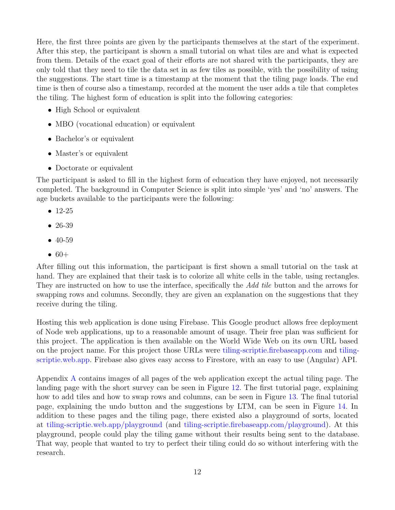Here, the first three points are given by the participants themselves at the start of the experiment. After this step, the participant is shown a small tutorial on what tiles are and what is expected from them. Details of the exact goal of their efforts are not shared with the participants, they are only told that they need to tile the data set in as few tiles as possible, with the possibility of using the suggestions. The start time is a timestamp at the moment that the tiling page loads. The end time is then of course also a timestamp, recorded at the moment the user adds a tile that completes the tiling. The highest form of education is split into the following categories:

- High School or equivalent
- MBO (vocational education) or equivalent
- Bachelor's or equivalent
- Master's or equivalent
- Doctorate or equivalent

The participant is asked to fill in the highest form of education they have enjoyed, not necessarily completed. The background in Computer Science is split into simple 'yes' and 'no' answers. The age buckets available to the participants were the following:

- 12-25
- 26-39
- 40-59
- $60+$

After filling out this information, the participant is first shown a small tutorial on the task at hand. They are explained that their task is to colorize all white cells in the table, using rectangles. They are instructed on how to use the interface, specifically the Add tile button and the arrows for swapping rows and columns. Secondly, they are given an explanation on the suggestions that they receive during the tiling.

Hosting this web application is done using Firebase. This Google product allows free deployment of Node web applications, up to a reasonable amount of usage. Their free plan was sufficient for this project. The application is then available on the World Wide Web on its own URL based on the project name. For this project those URLs were [tiling-scriptie.firebaseapp.com](https://tiling-scriptie.firebaseapp.com) and [tiling](https://tiling-scriptie.web.app)[scriptie.web.app.](https://tiling-scriptie.web.app) Firebase also gives easy access to Firestore, with an easy to use (Angular) API.

Appendix [A](#page-23-1) contains images of all pages of the web application except the actual tiling page. The landing page with the short survey can be seen in Figure [12.](#page-23-2) The first tutorial page, explaining how to add tiles and how to swap rows and columns, can be seen in Figure [13.](#page-24-0) The final tutorial page, explaining the undo button and the suggestions by LTM, can be seen in Figure [14.](#page-25-0) In addition to these pages and the tiling page, there existed also a playground of sorts, located at [tiling-scriptie.web.app/playground](https://tiling-scriptie.web.app/playground) (and [tiling-scriptie.firebaseapp.com/playground\)](https://tiling-scriptie.firebaseapp.com/playground). At this playground, people could play the tiling game without their results being sent to the database. That way, people that wanted to try to perfect their tiling could do so without interfering with the research.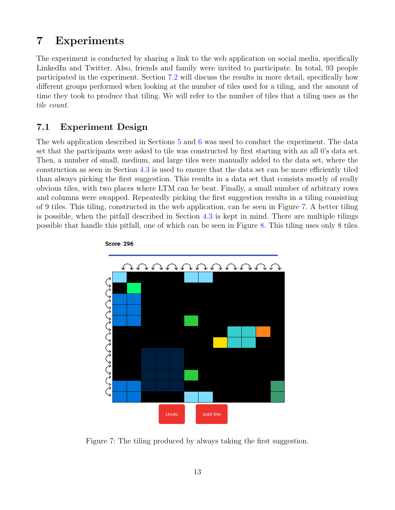## <span id="page-15-0"></span>7 Experiments

The experiment is conducted by sharing a link to the web application on social media, specifically LinkedIn and Twitter. Also, friends and family were invited to participate. In total, 93 people participated in the experiment. Section [7.2](#page-16-0) will discuss the results in more detail, specifically how different groups performed when looking at the number of tiles used for a tiling, and the amount of time they took to produce that tiling. We will refer to the number of tiles that a tiling uses as the tile count.

#### <span id="page-15-1"></span>7.1 Experiment Design

The web application described in Sections [5](#page-10-0) and [6](#page-11-0) was used to conduct the experiment. The data set that the participants were asked to tile was constructed by first starting with an all 0's data set. Then, a number of small, medium, and large tiles were manually added to the data set, where the construction as seen in Section [4.3](#page-8-0) is used to ensure that the data set can be more efficiently tiled than always picking the first suggestion. This results in a data set that consists mostly of really obvious tiles, with two places where LTM can be beat. Finally, a small number of arbitrary rows and columns were swapped. Repeatedly picking the first suggestion results in a tiling consisting of 9 tiles. This tiling, constructed in the web application, can be seen in Figure [7.](#page-15-2) A better tiling is possible, when the pitfall described in Section [4.3](#page-8-0) is kept in mind. There are multiple tilings possible that handle this pitfall, one of which can be seen in Figure [8.](#page-16-1) This tiling uses only 8 tiles.



**Score: 296** 

<span id="page-15-2"></span>Figure 7: The tiling produced by always taking the first suggestion.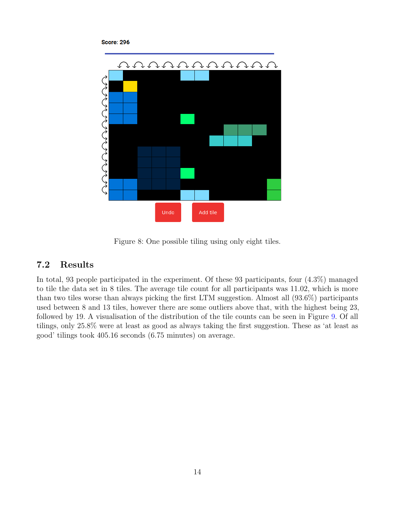#### **Score: 296**



<span id="page-16-1"></span>Figure 8: One possible tiling using only eight tiles.

## <span id="page-16-0"></span>7.2 Results

In total, 93 people participated in the experiment. Of these 93 participants, four (4.3%) managed to tile the data set in 8 tiles. The average tile count for all participants was 11.02, which is more than two tiles worse than always picking the first LTM suggestion. Almost all (93.6%) participants used between 8 and 13 tiles, however there are some outliers above that, with the highest being 23, followed by 19. A visualisation of the distribution of the tile counts can be seen in Figure [9.](#page-17-0) Of all tilings, only 25.8% were at least as good as always taking the first suggestion. These as 'at least as good' tilings took 405.16 seconds (6.75 minutes) on average.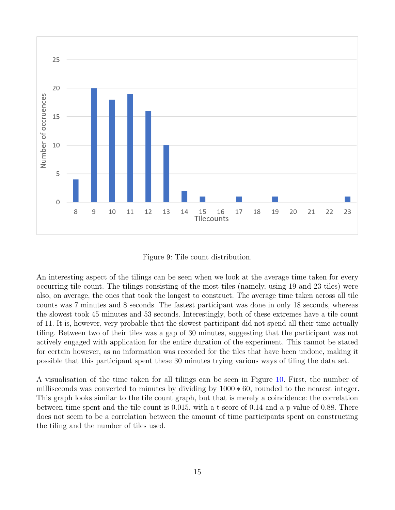

<span id="page-17-0"></span>Figure 9: Tile count distribution.

An interesting aspect of the tilings can be seen when we look at the average time taken for every occurring tile count. The tilings consisting of the most tiles (namely, using 19 and 23 tiles) were also, on average, the ones that took the longest to construct. The average time taken across all tile counts was 7 minutes and 8 seconds. The fastest participant was done in only 18 seconds, whereas the slowest took 45 minutes and 53 seconds. Interestingly, both of these extremes have a tile count of 11. It is, however, very probable that the slowest participant did not spend all their time actually tiling. Between two of their tiles was a gap of 30 minutes, suggesting that the participant was not actively engaged with application for the entire duration of the experiment. This cannot be stated for certain however, as no information was recorded for the tiles that have been undone, making it possible that this participant spent these 30 minutes trying various ways of tiling the data set.

A visualisation of the time taken for all tilings can be seen in Figure [10.](#page-18-0) First, the number of milliseconds was converted to minutes by dividing by 1000 ∗ 60, rounded to the nearest integer. This graph looks similar to the tile count graph, but that is merely a coincidence: the correlation between time spent and the tile count is 0.015, with a t-score of 0.14 and a p-value of 0.88. There does not seem to be a correlation between the amount of time participants spent on constructing the tiling and the number of tiles used.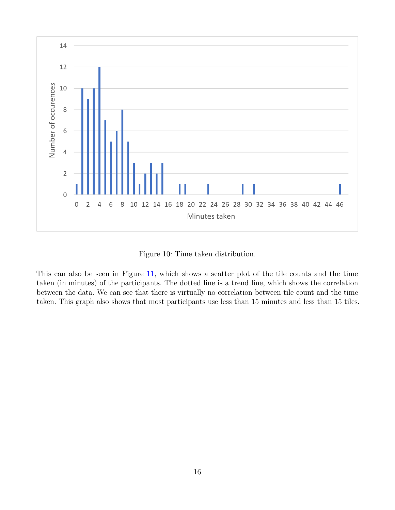

<span id="page-18-0"></span>Figure 10: Time taken distribution.

This can also be seen in Figure [11,](#page-19-0) which shows a scatter plot of the tile counts and the time taken (in minutes) of the participants. The dotted line is a trend line, which shows the correlation between the data. We can see that there is virtually no correlation between tile count and the time taken. This graph also shows that most participants use less than 15 minutes and less than 15 tiles.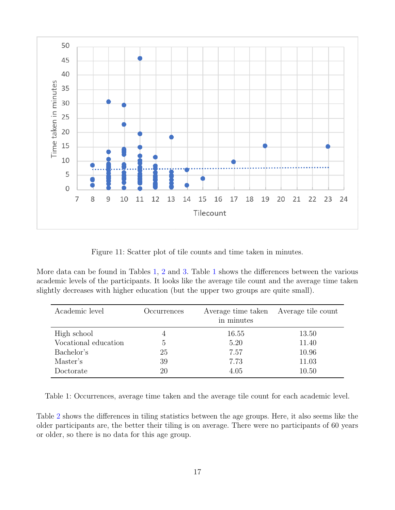

<span id="page-19-0"></span>Figure 11: Scatter plot of tile counts and time taken in minutes.

More data can be found in Tables [1,](#page-19-1) [2](#page-20-1) and [3.](#page-20-2) Table [1](#page-19-1) shows the differences between the various academic levels of the participants. It looks like the average tile count and the average time taken slightly decreases with higher education (but the upper two groups are quite small).

| Academic level       | Occurrences | Average time taken Average tile count<br>in minutes |       |
|----------------------|-------------|-----------------------------------------------------|-------|
| High school          | 4           | 16.55                                               | 13.50 |
| Vocational education | 5           | 5.20                                                | 11.40 |
| Bachelor's           | 25          | 7.57                                                | 10.96 |
| Master's             | 39          | 7.73                                                | 11.03 |
| Doctorate            | 20          | 4.05                                                | 10.50 |

<span id="page-19-1"></span>Table 1: Occurrences, average time taken and the average tile count for each academic level.

Table [2](#page-20-1) shows the differences in tiling statistics between the age groups. Here, it also seems like the older participants are, the better their tiling is on average. There were no participants of 60 years or older, so there is no data for this age group.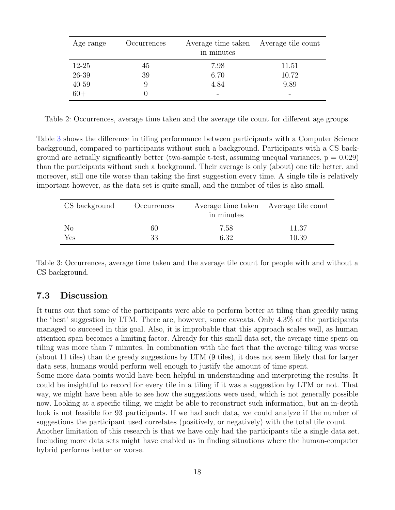| Age range | Occurrences | Average time taken Average tile count<br>in minutes |       |  |
|-----------|-------------|-----------------------------------------------------|-------|--|
| $12 - 25$ | 45          | 7.98                                                | 11.51 |  |
| 26-39     | 39          | 6.70                                                | 10.72 |  |
| $40 - 59$ | 9           | 4.84                                                | 9.89  |  |
| $60+$     |             |                                                     |       |  |

<span id="page-20-1"></span>Table 2: Occurrences, average time taken and the average tile count for different age groups.

Table [3](#page-20-2) shows the difference in tiling performance between participants with a Computer Science background, compared to participants without such a background. Participants with a CS background are actually significantly better (two-sample t-test, assuming unequal variances,  $p = 0.029$ ) than the participants without such a background. Their average is only (about) one tile better, and moreover, still one tile worse than taking the first suggestion every time. A single tile is relatively important however, as the data set is quite small, and the number of tiles is also small.

| CS background | Occurrences | Average time taken Average tile count<br>in minutes |       |  |  |
|---------------|-------------|-----------------------------------------------------|-------|--|--|
| No            | 60          | 7.58                                                | 11.37 |  |  |
| Yes           | 33          | 6.32                                                | 10.39 |  |  |

<span id="page-20-2"></span>Table 3: Occurrences, average time taken and the average tile count for people with and without a CS background.

#### <span id="page-20-0"></span>7.3 Discussion

It turns out that some of the participants were able to perform better at tiling than greedily using the 'best' suggestion by LTM. There are, however, some caveats. Only 4.3% of the participants managed to succeed in this goal. Also, it is improbable that this approach scales well, as human attention span becomes a limiting factor. Already for this small data set, the average time spent on tiling was more than 7 minutes. In combination with the fact that the average tiling was worse (about 11 tiles) than the greedy suggestions by LTM (9 tiles), it does not seem likely that for larger data sets, humans would perform well enough to justify the amount of time spent.

Some more data points would have been helpful in understanding and interpreting the results. It could be insightful to record for every tile in a tiling if it was a suggestion by LTM or not. That way, we might have been able to see how the suggestions were used, which is not generally possible now. Looking at a specific tiling, we might be able to reconstruct such information, but an in-depth look is not feasible for 93 participants. If we had such data, we could analyze if the number of suggestions the participant used correlates (positively, or negatively) with the total tile count.

Another limitation of this research is that we have only had the participants tile a single data set. Including more data sets might have enabled us in finding situations where the human-computer hybrid performs better or worse.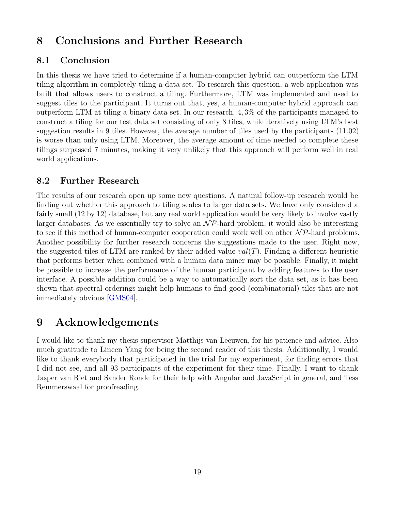## <span id="page-21-0"></span>8 Conclusions and Further Research

#### <span id="page-21-1"></span>8.1 Conclusion

In this thesis we have tried to determine if a human-computer hybrid can outperform the LTM tiling algorithm in completely tiling a data set. To research this question, a web application was built that allows users to construct a tiling. Furthermore, LTM was implemented and used to suggest tiles to the participant. It turns out that, yes, a human-computer hybrid approach can outperform LTM at tiling a binary data set. In our research, 4, 3% of the participants managed to construct a tiling for our test data set consisting of only 8 tiles, while iteratively using LTM's best suggestion results in 9 tiles. However, the average number of tiles used by the participants (11.02) is worse than only using LTM. Moreover, the average amount of time needed to complete these tilings surpassed 7 minutes, making it very unlikely that this approach will perform well in real world applications.

#### <span id="page-21-2"></span>8.2 Further Research

The results of our research open up some new questions. A natural follow-up research would be finding out whether this approach to tiling scales to larger data sets. We have only considered a fairly small (12 by 12) database, but any real world application would be very likely to involve vastly larger databases. As we essentially try to solve an  $\mathcal{NP}$ -hard problem, it would also be interesting to see if this method of human-computer cooperation could work well on other  $\mathcal{NP}$ -hard problems. Another possibility for further research concerns the suggestions made to the user. Right now, the suggested tiles of LTM are ranked by their added value  $val(T)$ . Finding a different heuristic that performs better when combined with a human data miner may be possible. Finally, it might be possible to increase the performance of the human participant by adding features to the user interface. A possible addition could be a way to automatically sort the data set, as it has been shown that spectral orderings might help humans to find good (combinatorial) tiles that are not immediately obvious [\[GMS04\]](#page-22-3).

## <span id="page-21-3"></span>9 Acknowledgements

I would like to thank my thesis supervisor Matthijs van Leeuwen, for his patience and advice. Also much gratitude to Lincen Yang for being the second reader of this thesis. Additionally, I would like to thank everybody that participated in the trial for my experiment, for finding errors that I did not see, and all 93 participants of the experiment for their time. Finally, I want to thank Jasper van Riet and Sander Ronde for their help with Angular and JavaScript in general, and Tess Remmerswaal for proofreading.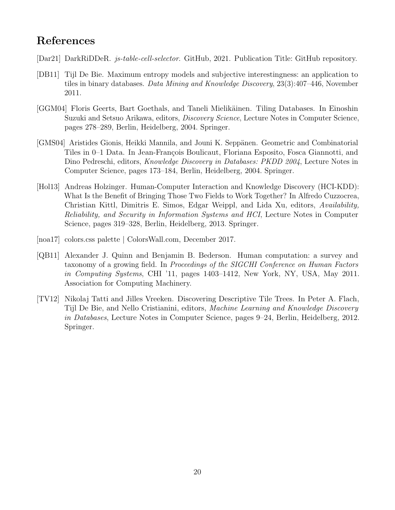## <span id="page-22-0"></span>References

- <span id="page-22-7"></span>[Dar21] DarkRiDDeR. js-table-cell-selector. GitHub, 2021. Publication Title: GitHub repository.
- <span id="page-22-5"></span>[DB11] Tijl De Bie. Maximum entropy models and subjective interestingness: an application to tiles in binary databases. Data Mining and Knowledge Discovery, 23(3):407–446, November 2011.
- <span id="page-22-1"></span>[GGM04] Floris Geerts, Bart Goethals, and Taneli Mielikäinen. Tiling Databases. In Einoshin Suzuki and Setsuo Arikawa, editors, Discovery Science, Lecture Notes in Computer Science, pages 278–289, Berlin, Heidelberg, 2004. Springer.
- <span id="page-22-3"></span>[GMS04] Aristides Gionis, Heikki Mannila, and Jouni K. Seppänen. Geometric and Combinatorial Tiles in 0–1 Data. In Jean-François Boulicaut, Floriana Esposito, Fosca Giannotti, and Dino Pedreschi, editors, Knowledge Discovery in Databases: PKDD 2004, Lecture Notes in Computer Science, pages 173–184, Berlin, Heidelberg, 2004. Springer.
- <span id="page-22-2"></span>[Hol13] Andreas Holzinger. Human-Computer Interaction and Knowledge Discovery (HCI-KDD): What Is the Benefit of Bringing Those Two Fields to Work Together? In Alfredo Cuzzocrea, Christian Kittl, Dimitris E. Simos, Edgar Weippl, and Lida Xu, editors, Availability, Reliability, and Security in Information Systems and HCI, Lecture Notes in Computer Science, pages 319–328, Berlin, Heidelberg, 2013. Springer.
- <span id="page-22-8"></span>[noa17] colors.css palette | ColorsWall.com, December 2017.
- <span id="page-22-6"></span>[QB11] Alexander J. Quinn and Benjamin B. Bederson. Human computation: a survey and taxonomy of a growing field. In Proceedings of the SIGCHI Conference on Human Factors in Computing Systems, CHI '11, pages 1403–1412, New York, NY, USA, May 2011. Association for Computing Machinery.
- <span id="page-22-4"></span>[TV12] Nikolaj Tatti and Jilles Vreeken. Discovering Descriptive Tile Trees. In Peter A. Flach, Tijl De Bie, and Nello Cristianini, editors, Machine Learning and Knowledge Discovery in Databases, Lecture Notes in Computer Science, pages 9–24, Berlin, Heidelberg, 2012. Springer.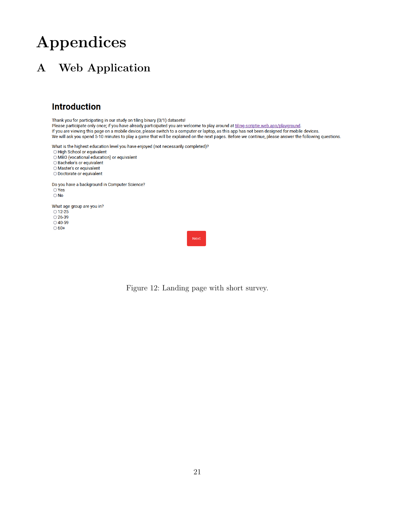# Appendices

# <span id="page-23-1"></span><span id="page-23-0"></span>A Web Application

### **Introduction**

Thank you for participating in our study on tiling binary (0/1) datasets!

Please participate only once; if you have already participated you are welcome to play around at tiling-scriptie.web.app/playground. If you are viewing this page on a mobile device, please switch to a computer or laptop, as this app has not been designed for mobile devices. We will ask you spend 5-10 minutes to play a game that will be explained on the next pages. Before we continue, please answer the following questions.

What is the highest education level you have enjoyed (not necessarily completed)?

O High School or equivalent

O MBO (vocational education) or equivalent

O Bachelor's or equivalent

O Master's or equivalent

O Doctorate or equivalent

Do you have a background in Computer Science?  $\overline{\bigcirc}$  Yes  $\bigcirc$  No

What age group are you in?  $\bigcirc$  12-25  $\bigcirc$  26-39  $\bigcirc$  40-59  $\bigcirc$  60+

<span id="page-23-2"></span>

Figure 12: Landing page with short survey.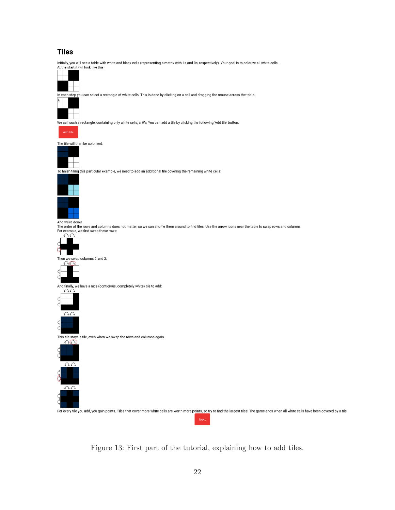#### **Tiles**

Initially, you will see a table with white and black cells (representing a matrix with 1s and 0s, respectively). Your goal is to colorize all white cells.<br>At the start it will look like this:



In each step you can select a rectangle of white cells. This is done by clicking on a cell and dragging the mouse across the table.



We call such a rectangle, containing only white cells, a tile. You can add a tile by clicking the following 'Add tile' button.



The tile will then be colorized:



To finish tiling this particular example, we need to add an additional tile covering the remaining white cells:



And we're done!<br>The order of the rows and columns does not matter, so we can shuffle them around to find tiles! Use the arrow icons near the table to swap rows and columns For example, we first swap these rows:





And finally, we have a nice (contigious, completely white) tile to add:



This tile stays a tile, even when we swap the rows and columns again.



For every tile you add, you gain points. Tiles that cover more white cells are worth more points, so try to find the largest tiles! The game ends when all white cells have been covered by a tile.

<span id="page-24-0"></span>Figure 13: First part of the tutorial, explaining how to add tiles.